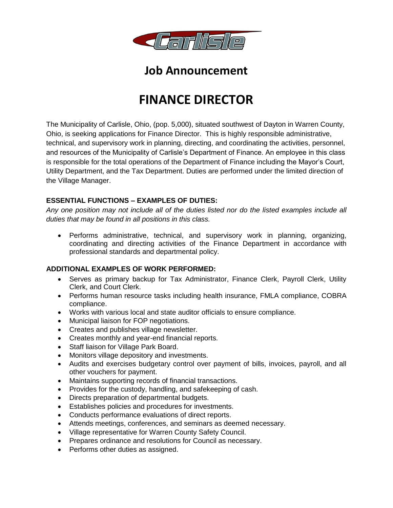

# **Job Announcement**

# **FINANCE DIRECTOR**

The Municipality of Carlisle, Ohio, (pop. 5,000), situated southwest of Dayton in Warren County, Ohio, is seeking applications for Finance Director. This is highly responsible administrative, technical, and supervisory work in planning, directing, and coordinating the activities, personnel, and resources of the Municipality of Carlisle's Department of Finance. An employee in this class is responsible for the total operations of the Department of Finance including the Mayor's Court, Utility Department, and the Tax Department. Duties are performed under the limited direction of the Village Manager.

# **ESSENTIAL FUNCTIONS – EXAMPLES OF DUTIES:**

*Any one position may not include all of the duties listed nor do the listed examples include all duties that may be found in all positions in this class.*

 Performs administrative, technical, and supervisory work in planning, organizing, coordinating and directing activities of the Finance Department in accordance with professional standards and departmental policy.

# **ADDITIONAL EXAMPLES OF WORK PERFORMED:**

- Serves as primary backup for Tax Administrator, Finance Clerk, Payroll Clerk, Utility Clerk, and Court Clerk.
- Performs human resource tasks including health insurance, FMLA compliance, COBRA compliance.
- Works with various local and state auditor officials to ensure compliance.
- Municipal liaison for FOP negotiations.
- Creates and publishes village newsletter.
- Creates monthly and year-end financial reports.
- Staff liaison for Village Park Board.
- Monitors village depository and investments.
- Audits and exercises budgetary control over payment of bills, invoices, payroll, and all other vouchers for payment.
- Maintains supporting records of financial transactions.
- Provides for the custody, handling, and safekeeping of cash.
- Directs preparation of departmental budgets.
- Establishes policies and procedures for investments.
- Conducts performance evaluations of direct reports.
- Attends meetings, conferences, and seminars as deemed necessary.
- Village representative for Warren County Safety Council.
- Prepares ordinance and resolutions for Council as necessary.
- Performs other duties as assigned.